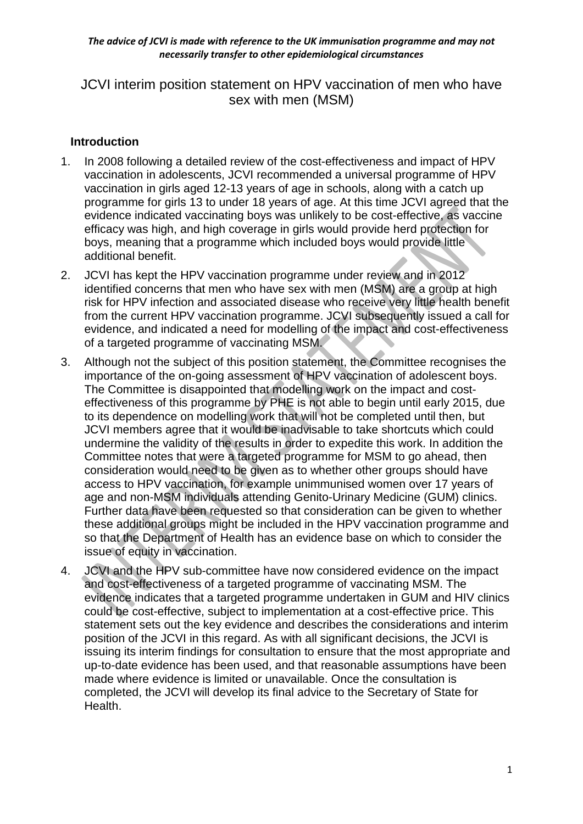JCVI interim position statement on HPV vaccination of men who have sex with men (MSM)

## **Introduction**

- 1. In 2008 following a detailed review of the cost-effectiveness and impact of HPV vaccination in adolescents, JCVI recommended a universal programme of HPV vaccination in girls aged 12-13 years of age in schools, along with a catch up programme for girls 13 to under 18 years of age. At this time JCVI agreed that the evidence indicated vaccinating boys was unlikely to be cost-effective, as vaccine efficacy was high, and high coverage in girls would provide herd protection for boys, meaning that a programme which included boys would provide little additional benefit.
- 2. JCVI has kept the HPV vaccination programme under review and in 2012 identified concerns that men who have sex with men (MSM) are a group at high risk for HPV infection and associated disease who receive very little health benefit from the current HPV vaccination programme. JCVI subsequently issued a call for evidence, and indicated a need for modelling of the impact and cost-effectiveness of a targeted programme of vaccinating MSM.
- 3. Although not the subject of this position statement, the Committee recognises the importance of the on-going assessment of HPV vaccination of adolescent boys. The Committee is disappointed that modelling work on the impact and costeffectiveness of this programme by PHE is not able to begin until early 2015, due to its dependence on modelling work that will not be completed until then, but JCVI members agree that it would be inadvisable to take shortcuts which could undermine the validity of the results in order to expedite this work. In addition the Committee notes that were a targeted programme for MSM to go ahead, then consideration would need to be given as to whether other groups should have access to HPV vaccination, for example unimmunised women over 17 years of age and non-MSM individuals attending Genito-Urinary Medicine (GUM) clinics. Further data have been requested so that consideration can be given to whether these additional groups might be included in the HPV vaccination programme and so that the Department of Health has an evidence base on which to consider the issue of equity in vaccination.
- 4. JCVI and the HPV sub-committee have now considered evidence on the impact and cost-effectiveness of a targeted programme of vaccinating MSM. The evidence indicates that a targeted programme undertaken in GUM and HIV clinics could be cost-effective, subject to implementation at a cost-effective price. This statement sets out the key evidence and describes the considerations and interim position of the JCVI in this regard. As with all significant decisions, the JCVI is issuing its interim findings for consultation to ensure that the most appropriate and up-to-date evidence has been used, and that reasonable assumptions have been made where evidence is limited or unavailable. Once the consultation is completed, the JCVI will develop its final advice to the Secretary of State for Health.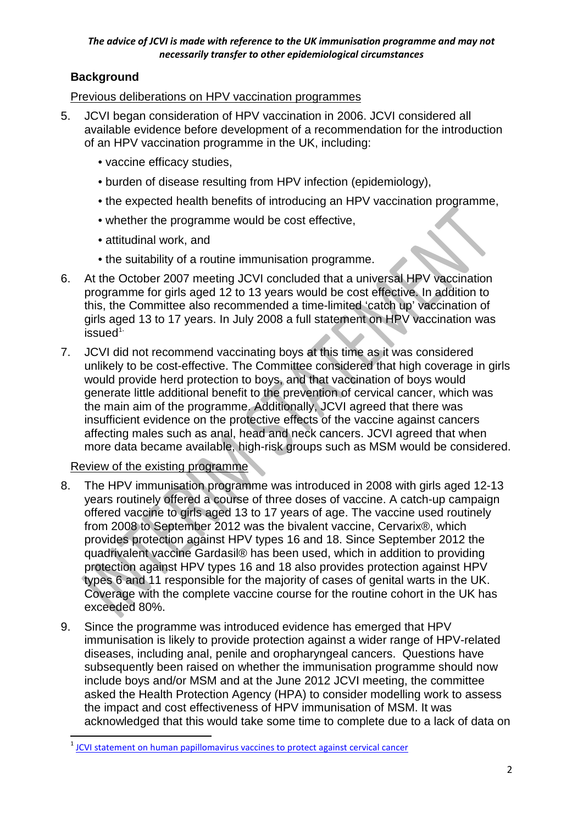# **Background**

# Previous deliberations on HPV vaccination programmes

- 5. JCVI began consideration of HPV vaccination in 2006. JCVI considered all available evidence before development of a recommendation for the introduction of an HPV vaccination programme in the UK, including:
	- vaccine efficacy studies,
	- burden of disease resulting from HPV infection (epidemiology),
	- the expected health benefits of introducing an HPV vaccination programme,
	- whether the programme would be cost effective,
	- attitudinal work, and
	- the suitability of a routine immunisation programme.
- 6. At the October 2007 meeting JCVI concluded that a universal HPV vaccination programme for girls aged 12 to 13 years would be cost effective. In addition to this, the Committee also recommended a time-limited 'catch up' vaccination of girls aged 13 to 17 years. In July 2008 a full statement on HPV vaccination was  $is sued<sup>1</sup>$  $is sued<sup>1</sup>$  $is sued<sup>1</sup>$
- 7. JCVI did not recommend vaccinating boys at this time as it was considered unlikely to be cost-effective. The Committee considered that high coverage in girls would provide herd protection to boys, and that vaccination of boys would generate little additional benefit to the prevention of cervical cancer, which was the main aim of the programme. Additionally, JCVI agreed that there was insufficient evidence on the protective effects of the vaccine against cancers affecting males such as anal, head and neck cancers. JCVI agreed that when more data became available, high-risk groups such as MSM would be considered.

# Review of the existing programme

 $\overline{a}$ 

- 8. The HPV immunisation programme was introduced in 2008 with girls aged 12-13 years routinely offered a course of three doses of vaccine. A catch-up campaign offered vaccine to girls aged 13 to 17 years of age. The vaccine used routinely from 2008 to September 2012 was the bivalent vaccine, Cervarix®, which provides protection against HPV types 16 and 18. Since September 2012 the quadrivalent vaccine Gardasil® has been used, which in addition to providing protection against HPV types 16 and 18 also provides protection against HPV types 6 and 11 responsible for the majority of cases of genital warts in the UK. Coverage with the complete vaccine course for the routine cohort in the UK has exceeded 80%.
- 9. Since the programme was introduced evidence has emerged that HPV immunisation is likely to provide protection against a wider range of HPV-related diseases, including anal, penile and oropharyngeal cancers. Questions have subsequently been raised on whether the immunisation programme should now include boys and/or MSM and at the June 2012 JCVI meeting, the committee asked the Health Protection Agency (HPA) to consider modelling work to assess the impact and cost effectiveness of HPV immunisation of MSM. It was acknowledged that this would take some time to complete due to a lack of data on

<span id="page-1-0"></span> $1$  [JCVI statement on human papillomavirus vaccines to protect against cervical cancer](http://webarchive.nationalarchives.gov.uk/20120907090205/http:/www.dh.gov.uk/prod_consum_dh/groups/dh_digitalassets/@dh/@ab/documents/digitalasset/dh_094739.pdf)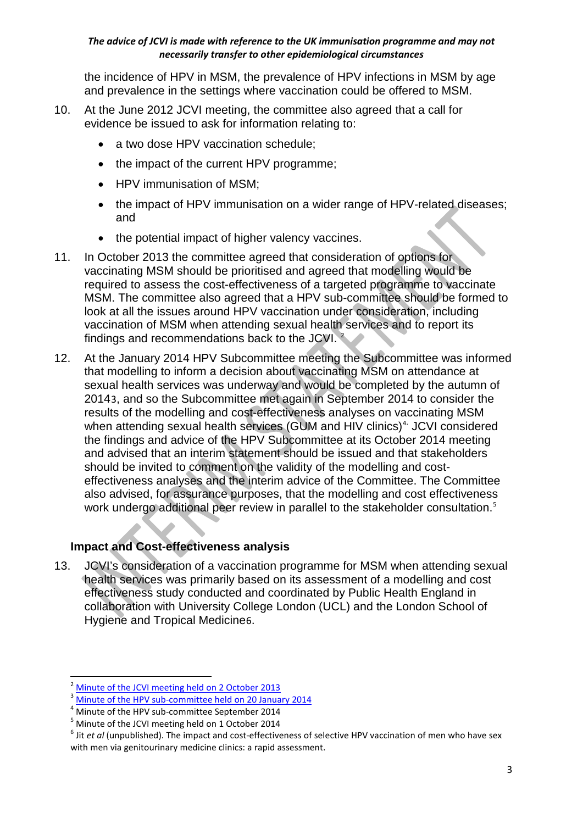the incidence of HPV in MSM, the prevalence of HPV infections in MSM by age and prevalence in the settings where vaccination could be offered to MSM.

- 10. At the June 2012 JCVI meeting, the committee also agreed that a call for evidence be issued to ask for information relating to:
	- a two dose HPV vaccination schedule;
	- the impact of the current HPV programme;
	- HPV immunisation of MSM:
	- the impact of HPV immunisation on a wider range of HPV-related diseases; and
	- the potential impact of higher valency vaccines.
- 11. In October 2013 the committee agreed that consideration of options for vaccinating MSM should be prioritised and agreed that modelling would be required to assess the cost-effectiveness of a targeted programme to vaccinate MSM. The committee also agreed that a HPV sub-committee should be formed to look at all the issues around HPV vaccination under consideration, including vaccination of MSM when attending sexual health services and to report its findings and recommendations back to the JCVI. [2](#page-2-0)
- 12. At the January 2014 HPV Subcommittee meeting the Subcommittee was informed that modelling to inform a decision about vaccinating MSM on attendance at sexual health services was underway and would be completed by the autumn of 2014[3](#page-2-1), and so the Subcommittee met again in September 2014 to consider the results of the modelling and cost-effectiveness analyses on vaccinating MSM when attending sexual health services (GUM and HIV clinics)<sup>[4](#page-2-2).</sup> JCVI considered the findings and advice of the HPV Subcommittee at its October 2014 meeting and advised that an interim statement should be issued and that stakeholders should be invited to comment on the validity of the modelling and costeffectiveness analyses and the interim advice of the Committee. The Committee also advised, for assurance purposes, that the modelling and cost effectiveness work undergo additional peer review in parallel to the stakeholder consultation.<sup>[5](#page-2-3)</sup>

# **Impact and Cost-effectiveness analysis**

13. JCVI's consideration of a vaccination programme for MSM when attending sexual health services was primarily based on its assessment of a modelling and cost effectiveness study conducted and coordinated by Public Health England in collaboration with University College London (UCL) and the London School of Hygiene and Tropical Medicine[6](#page-2-4).

<span id="page-2-0"></span>[Minute of the JCVI meeting held on 2 October 2013](https://app.box.com/s/iddfb4ppwkmtjusir2tc)<br>Minute of the HPV sub-committee held on 20 January 2014 **.** 

<span id="page-2-2"></span><span id="page-2-1"></span><sup>&</sup>lt;sup>4</sup> Minute of the HPV sub-committee September 2014  $^5$  Minute of the JCVI meeting held on 1 October 2014

<span id="page-2-4"></span><span id="page-2-3"></span><sup>&</sup>lt;sup>6</sup> Jit *et al* (unpublished). The impact and cost-effectiveness of selective HPV vaccination of men who have sex with men via genitourinary medicine clinics: a rapid assessment.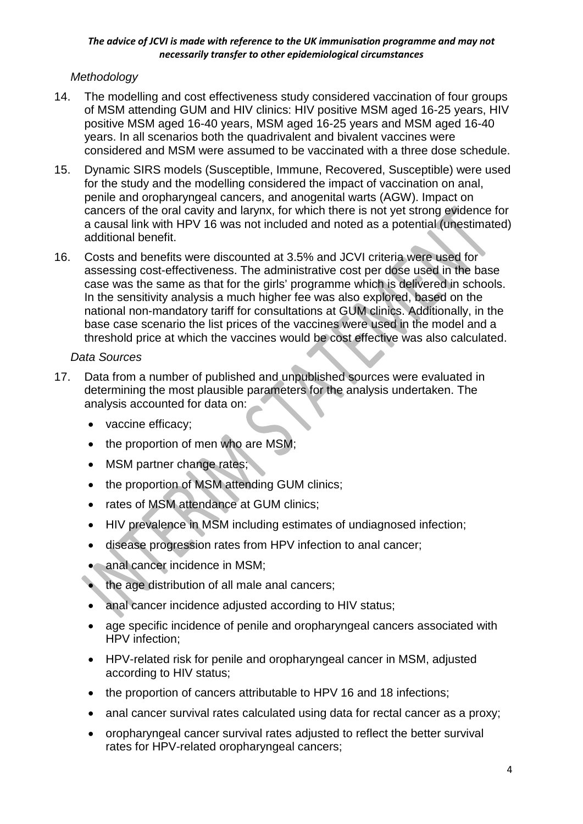# *Methodology*

- 14. The modelling and cost effectiveness study considered vaccination of four groups of MSM attending GUM and HIV clinics: HIV positive MSM aged 16-25 years, HIV positive MSM aged 16-40 years, MSM aged 16-25 years and MSM aged 16-40 years. In all scenarios both the quadrivalent and bivalent vaccines were considered and MSM were assumed to be vaccinated with a three dose schedule.
- 15. Dynamic SIRS models (Susceptible, Immune, Recovered, Susceptible) were used for the study and the modelling considered the impact of vaccination on anal, penile and oropharyngeal cancers, and anogenital warts (AGW). Impact on cancers of the oral cavity and larynx, for which there is not yet strong evidence for a causal link with HPV 16 was not included and noted as a potential (unestimated) additional benefit.
- 16. Costs and benefits were discounted at 3.5% and JCVI criteria were used for assessing cost-effectiveness. The administrative cost per dose used in the base case was the same as that for the girls' programme which is delivered in schools. In the sensitivity analysis a much higher fee was also explored, based on the national non-mandatory tariff for consultations at GUM clinics. Additionally, in the base case scenario the list prices of the vaccines were used in the model and a threshold price at which the vaccines would be cost effective was also calculated.

# *Data Sources*

- 17. Data from a number of published and unpublished sources were evaluated in determining the most plausible parameters for the analysis undertaken. The analysis accounted for data on:
	- vaccine efficacy;
	- the proportion of men who are MSM;
	- MSM partner change rates;
	- the proportion of MSM attending GUM clinics;
	- rates of MSM attendance at GUM clinics;
	- HIV prevalence in MSM including estimates of undiagnosed infection;
	- disease progression rates from HPV infection to anal cancer;
	- anal cancer incidence in MSM;
	- the age distribution of all male anal cancers;
	- anal cancer incidence adjusted according to HIV status;
	- age specific incidence of penile and oropharyngeal cancers associated with HPV infection;
	- HPV-related risk for penile and oropharyngeal cancer in MSM, adjusted according to HIV status;
	- the proportion of cancers attributable to HPV 16 and 18 infections;
	- anal cancer survival rates calculated using data for rectal cancer as a proxy:
	- oropharyngeal cancer survival rates adjusted to reflect the better survival rates for HPV-related oropharyngeal cancers;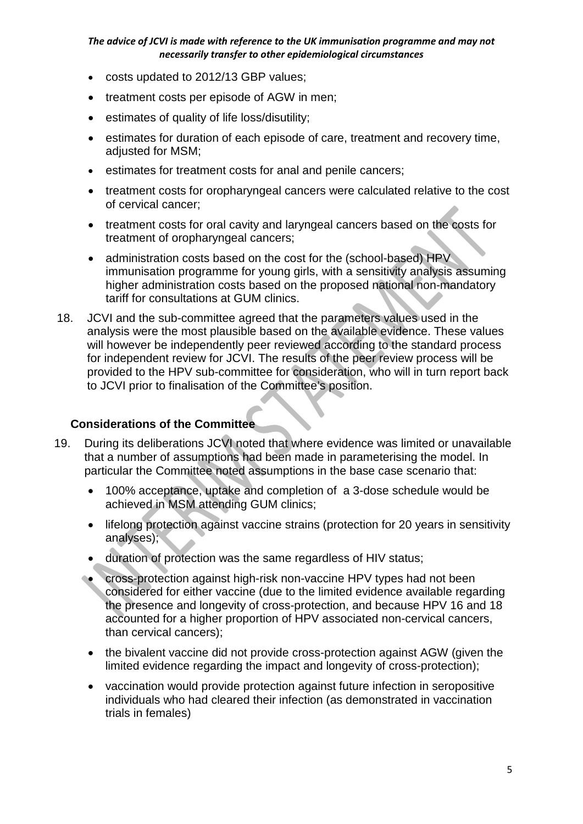- costs updated to 2012/13 GBP values;
- treatment costs per episode of AGW in men:
- estimates of quality of life loss/disutility;
- estimates for duration of each episode of care, treatment and recovery time, adjusted for MSM;
- estimates for treatment costs for anal and penile cancers;
- treatment costs for oropharyngeal cancers were calculated relative to the cost of cervical cancer;
- treatment costs for oral cavity and laryngeal cancers based on the costs for treatment of oropharyngeal cancers;
- administration costs based on the cost for the (school-based) HPV immunisation programme for young girls, with a sensitivity analysis assuming higher administration costs based on the proposed national non-mandatory tariff for consultations at GUM clinics.
- 18. JCVI and the sub-committee agreed that the parameters values used in the analysis were the most plausible based on the available evidence. These values will however be independently peer reviewed according to the standard process for independent review for JCVI. The results of the peer review process will be provided to the HPV sub-committee for consideration, who will in turn report back to JCVI prior to finalisation of the Committee's position.

## **Considerations of the Committee**

- 19. During its deliberations JCVI noted that where evidence was limited or unavailable that a number of assumptions had been made in parameterising the model. In particular the Committee noted assumptions in the base case scenario that:
	- 100% acceptance, uptake and completion of a 3-dose schedule would be achieved in MSM attending GUM clinics;
	- lifelong protection against vaccine strains (protection for 20 years in sensitivity analyses);
	- duration of protection was the same regardless of HIV status;
	- cross-protection against high-risk non-vaccine HPV types had not been considered for either vaccine (due to the limited evidence available regarding the presence and longevity of cross-protection, and because HPV 16 and 18 accounted for a higher proportion of HPV associated non-cervical cancers, than cervical cancers);
	- the bivalent vaccine did not provide cross-protection against AGW (given the limited evidence regarding the impact and longevity of cross-protection);
	- vaccination would provide protection against future infection in seropositive individuals who had cleared their infection (as demonstrated in vaccination trials in females)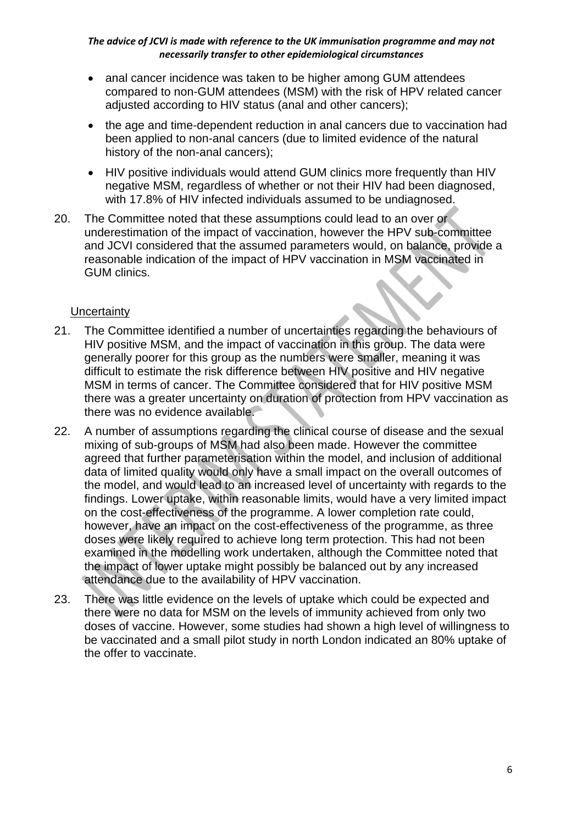- anal cancer incidence was taken to be higher among GUM attendees compared to non-GUM attendees (MSM) with the risk of HPV related cancer adjusted according to HIV status (anal and other cancers);
- the age and time-dependent reduction in anal cancers due to vaccination had been applied to non-anal cancers (due to limited evidence of the natural history of the non-anal cancers);
- HIV positive individuals would attend GUM clinics more frequently than HIV negative MSM, regardless of whether or not their HIV had been diagnosed, with 17.8% of HIV infected individuals assumed to be undiagnosed.
- 20. The Committee noted that these assumptions could lead to an over or underestimation of the impact of vaccination, however the HPV sub-committee and JCVI considered that the assumed parameters would, on balance, provide a reasonable indication of the impact of HPV vaccination in MSM vaccinated in GUM clinics.

## **Uncertainty**

- 21. The Committee identified a number of uncertainties regarding the behaviours of HIV positive MSM, and the impact of vaccination in this group. The data were generally poorer for this group as the numbers were smaller, meaning it was difficult to estimate the risk difference between HIV positive and HIV negative MSM in terms of cancer. The Committee considered that for HIV positive MSM there was a greater uncertainty on duration of protection from HPV vaccination as there was no evidence available.
- 22. A number of assumptions regarding the clinical course of disease and the sexual mixing of sub-groups of MSM had also been made. However the committee agreed that further parameterisation within the model, and inclusion of additional data of limited quality would only have a small impact on the overall outcomes of the model, and would lead to an increased level of uncertainty with regards to the findings. Lower uptake, within reasonable limits, would have a very limited impact on the cost-effectiveness of the programme. A lower completion rate could, however, have an impact on the cost-effectiveness of the programme, as three doses were likely required to achieve long term protection. This had not been examined in the modelling work undertaken, although the Committee noted that the impact of lower uptake might possibly be balanced out by any increased attendance due to the availability of HPV vaccination.
- 23. There was little evidence on the levels of uptake which could be expected and there were no data for MSM on the levels of immunity achieved from only two doses of vaccine. However, some studies had shown a high level of willingness to be vaccinated and a small pilot study in north London indicated an 80% uptake of the offer to vaccinate.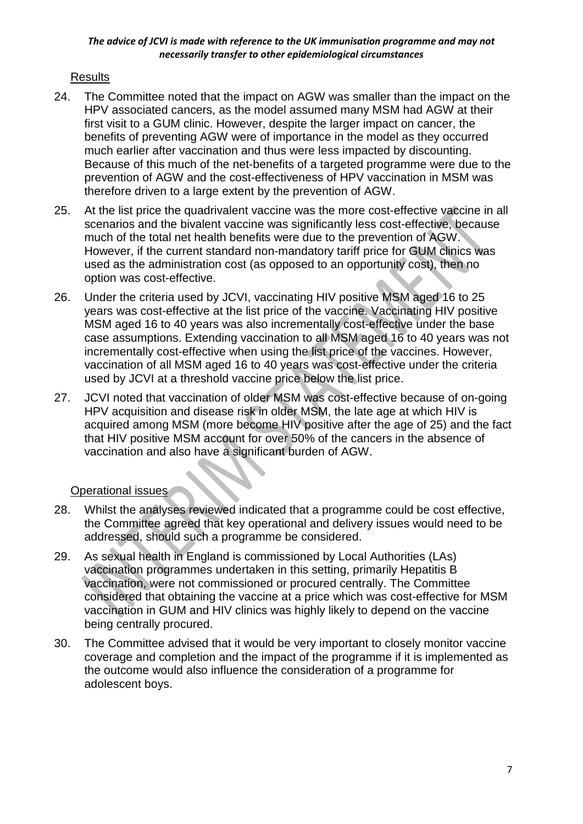# Results

- 24. The Committee noted that the impact on AGW was smaller than the impact on the HPV associated cancers, as the model assumed many MSM had AGW at their first visit to a GUM clinic. However, despite the larger impact on cancer, the benefits of preventing AGW were of importance in the model as they occurred much earlier after vaccination and thus were less impacted by discounting. Because of this much of the net-benefits of a targeted programme were due to the prevention of AGW and the cost-effectiveness of HPV vaccination in MSM was therefore driven to a large extent by the prevention of AGW.
- 25. At the list price the quadrivalent vaccine was the more cost-effective vaccine in all scenarios and the bivalent vaccine was significantly less cost-effective, because much of the total net health benefits were due to the prevention of AGW. However, if the current standard non-mandatory tariff price for GUM clinics was used as the administration cost (as opposed to an opportunity cost), then no option was cost-effective.
- 26. Under the criteria used by JCVI, vaccinating HIV positive MSM aged 16 to 25 years was cost-effective at the list price of the vaccine. Vaccinating HIV positive MSM aged 16 to 40 years was also incrementally cost-effective under the base case assumptions. Extending vaccination to all MSM aged 16 to 40 years was not incrementally cost-effective when using the list price of the vaccines. However, vaccination of all MSM aged 16 to 40 years was cost-effective under the criteria used by JCVI at a threshold vaccine price below the list price.
- 27. JCVI noted that vaccination of older MSM was cost-effective because of on-going HPV acquisition and disease risk in older MSM, the late age at which HIV is acquired among MSM (more become HIV positive after the age of 25) and the fact that HIV positive MSM account for over 50% of the cancers in the absence of vaccination and also have a significant burden of AGW.

# Operational issues

- 28. Whilst the analyses reviewed indicated that a programme could be cost effective, the Committee agreed that key operational and delivery issues would need to be addressed, should such a programme be considered.
- 29. As sexual health in England is commissioned by Local Authorities (LAs) vaccination programmes undertaken in this setting, primarily Hepatitis B vaccination, were not commissioned or procured centrally. The Committee considered that obtaining the vaccine at a price which was cost-effective for MSM vaccination in GUM and HIV clinics was highly likely to depend on the vaccine being centrally procured.
- 30. The Committee advised that it would be very important to closely monitor vaccine coverage and completion and the impact of the programme if it is implemented as the outcome would also influence the consideration of a programme for adolescent boys.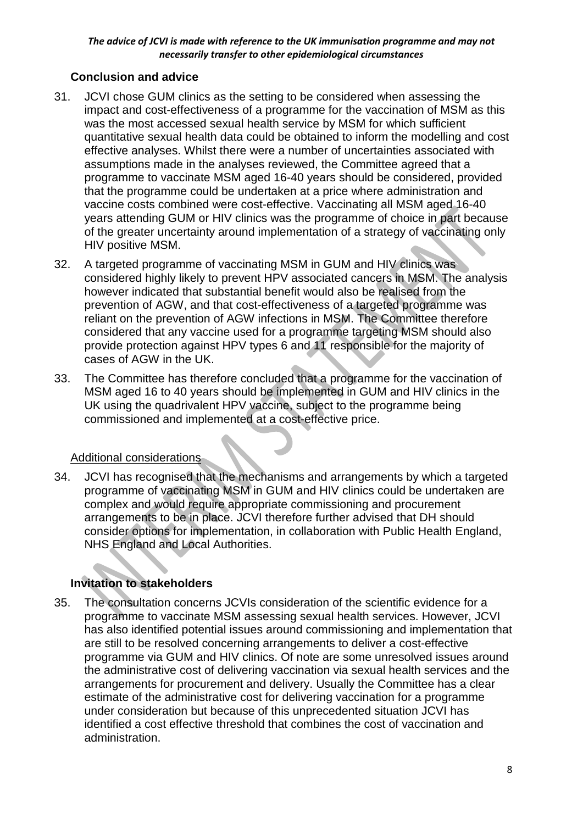# **Conclusion and advice**

- 31. JCVI chose GUM clinics as the setting to be considered when assessing the impact and cost-effectiveness of a programme for the vaccination of MSM as this was the most accessed sexual health service by MSM for which sufficient quantitative sexual health data could be obtained to inform the modelling and cost effective analyses. Whilst there were a number of uncertainties associated with assumptions made in the analyses reviewed, the Committee agreed that a programme to vaccinate MSM aged 16-40 years should be considered, provided that the programme could be undertaken at a price where administration and vaccine costs combined were cost-effective. Vaccinating all MSM aged 16-40 years attending GUM or HIV clinics was the programme of choice in part because of the greater uncertainty around implementation of a strategy of vaccinating only HIV positive MSM.
- 32. A targeted programme of vaccinating MSM in GUM and HIV clinics was considered highly likely to prevent HPV associated cancers in MSM. The analysis however indicated that substantial benefit would also be realised from the prevention of AGW, and that cost-effectiveness of a targeted programme was reliant on the prevention of AGW infections in MSM. The Committee therefore considered that any vaccine used for a programme targeting MSM should also provide protection against HPV types 6 and 11 responsible for the majority of cases of AGW in the UK.
- 33. The Committee has therefore concluded that a programme for the vaccination of MSM aged 16 to 40 years should be implemented in GUM and HIV clinics in the UK using the quadrivalent HPV vaccine, subject to the programme being commissioned and implemented at a cost-effective price.

# Additional considerations

34. JCVI has recognised that the mechanisms and arrangements by which a targeted programme of vaccinating MSM in GUM and HIV clinics could be undertaken are complex and would require appropriate commissioning and procurement arrangements to be in place. JCVI therefore further advised that DH should consider options for implementation, in collaboration with Public Health England, NHS England and Local Authorities.

# **Invitation to stakeholders**

35. The consultation concerns JCVIs consideration of the scientific evidence for a programme to vaccinate MSM assessing sexual health services. However, JCVI has also identified potential issues around commissioning and implementation that are still to be resolved concerning arrangements to deliver a cost-effective programme via GUM and HIV clinics. Of note are some unresolved issues around the administrative cost of delivering vaccination via sexual health services and the arrangements for procurement and delivery. Usually the Committee has a clear estimate of the administrative cost for delivering vaccination for a programme under consideration but because of this unprecedented situation JCVI has identified a cost effective threshold that combines the cost of vaccination and administration.